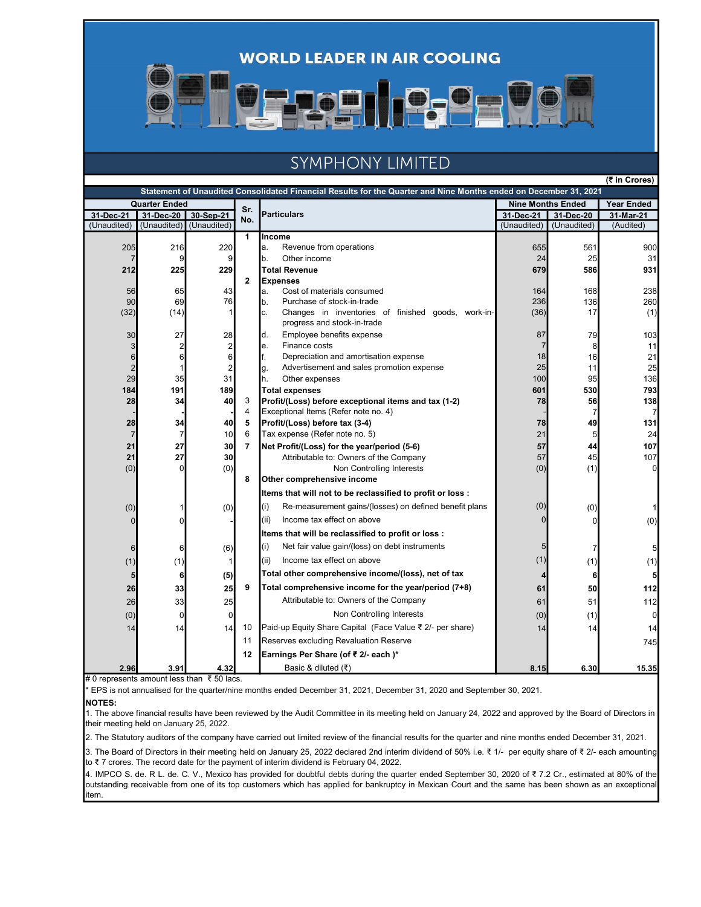**WORLD LEADER IN AIR COOLING** 

# SYMPHONY LIMITED

|  | (₹ in Crores) |
|--|---------------|

|                      |             |                |                | Statement of Unaudited Consolidated Financial Results for the Quarter and Nine Months ended on December 31, 2021 |                          |                      |                   |  |
|----------------------|-------------|----------------|----------------|------------------------------------------------------------------------------------------------------------------|--------------------------|----------------------|-------------------|--|
| <b>Quarter Ended</b> |             |                | Sr.            |                                                                                                                  | <b>Nine Months Ended</b> |                      | <b>Year Ended</b> |  |
| 31-Dec-21            | 31-Dec-20   | 30-Sep-21      | No.            | <b>Particulars</b>                                                                                               | 31-Dec-21                | 31-Dec-20            | 31-Mar-21         |  |
| (Unaudited)          | (Unaudited) | (Unaudited)    |                |                                                                                                                  | (Unaudited)              | (Unaudited)          | (Audited)         |  |
|                      |             |                | 1              | Income                                                                                                           |                          |                      |                   |  |
| 205                  | 216         | 220            |                | Revenue from operations<br>a.                                                                                    | 655                      | 561                  | 900               |  |
|                      |             | $\overline{9}$ |                | Other income<br>b.                                                                                               | 24                       | 25                   | 31                |  |
| 212                  | 225         | 229            |                | <b>Total Revenue</b>                                                                                             | 679                      | 586                  | 931               |  |
|                      |             |                | $\overline{2}$ | <b>Expenses</b>                                                                                                  |                          |                      |                   |  |
| 56<br>90             | 65<br>69    | 43<br>76       |                | Cost of materials consumed<br>la.<br>b.<br>Purchase of stock-in-trade                                            | 164<br>236               | 168<br>136           | 238<br>260        |  |
| (32)                 | (14)        |                |                | c.<br>Changes in inventories of finished goods, work-in-                                                         | (36)                     | 17                   | (1)               |  |
|                      |             |                |                | progress and stock-in-trade                                                                                      |                          |                      |                   |  |
| 30                   | 27          | 28             |                | Employee benefits expense<br>d.                                                                                  | 87                       | 79                   | 103               |  |
| 3                    | 2           | $\overline{c}$ |                | Finance costs<br>le.                                                                                             |                          | 8                    | 11                |  |
| 6                    | 6           | 6              |                | f.<br>Depreciation and amortisation expense                                                                      | 18                       | 16                   | 21                |  |
| $\overline{c}$       |             | $\overline{2}$ |                | Advertisement and sales promotion expense<br>g.                                                                  | 25                       | 11                   | 25                |  |
| 29                   | 35          | 31             |                | h.<br>Other expenses                                                                                             | 100                      | 95                   | 136               |  |
| 184                  | 191         | 189            |                | <b>Total expenses</b>                                                                                            | 601                      | 530                  | 793               |  |
| 28                   | 34          | 40             | 3<br>4         | Profit/(Loss) before exceptional items and tax (1-2)<br>Exceptional Items (Refer note no. 4)                     | 78                       | 56<br>$\overline{7}$ | 138<br>7          |  |
| 28                   | 34          | 40             | 5              | Profit/(Loss) before tax (3-4)                                                                                   | 78                       | 49                   | 131               |  |
| $\overline{7}$       | 7           | 10             | 6              | Tax expense (Refer note no. 5)                                                                                   | 21                       | $5\overline{)}$      | 24                |  |
| 21                   | 27          | 30             | 7              | Net Profit/(Loss) for the year/period (5-6)                                                                      | 57                       | 44                   | 107               |  |
| 21                   | 27          | 30             |                | Attributable to: Owners of the Company                                                                           | 57                       | 45                   | 107               |  |
| (0)                  | n           | (0)            |                | Non Controlling Interests                                                                                        | (0)                      | (1)                  | 0                 |  |
|                      |             |                | 8              | Other comprehensive income                                                                                       |                          |                      |                   |  |
|                      |             |                |                | Items that will not to be reclassified to profit or loss :                                                       |                          |                      |                   |  |
| (0)                  |             | (0)            |                | Re-measurement gains/(losses) on defined benefit plans<br>(i)                                                    | (0)                      | (0)                  |                   |  |
| $\Omega$             |             |                |                | Income tax effect on above<br>(ii)                                                                               |                          | $\Omega$             | (0)               |  |
|                      |             |                |                | Items that will be reclassified to profit or loss :                                                              |                          |                      |                   |  |
| 6                    | 6           | (6)            |                | Net fair value gain/(loss) on debt instruments<br>(i)                                                            |                          | 7                    | 5                 |  |
| (1)                  | (1)         | 1              |                | (ii)<br>Income tax effect on above                                                                               | (1)                      | (1)                  | (1)               |  |
| 5                    | 6           | (5)            |                | Total other comprehensive income/(loss), net of tax                                                              |                          | 6                    | 5                 |  |
| 26                   | 33          | 25             | 9              | Total comprehensive income for the year/period (7+8)                                                             | 61                       | 50                   | 112               |  |
| 26                   | 33          | 25             |                | Attributable to: Owners of the Company                                                                           | 61                       | 51                   | 112               |  |
| (0)                  | $\Omega$    | $\overline{0}$ |                | Non Controlling Interests                                                                                        | (0)                      | (1)                  | $\overline{0}$    |  |
| 14                   | 14          | 14             | 10             | Paid-up Equity Share Capital (Face Value ₹ 2/- per share)                                                        | 14                       | 14                   | 14                |  |
|                      |             |                | 11             | Reserves excluding Revaluation Reserve                                                                           |                          |                      | 745               |  |
|                      |             |                | 12             | Earnings Per Share (of ₹ 2/- each)*                                                                              |                          |                      |                   |  |
| 2.96                 | 3.91        | 4.32           |                | Basic & diluted (₹)                                                                                              | 8.15                     | 6.30                 | 15.35             |  |

# 0 represents amount less than ₹ 50 lacs.

\* EPS is not annualised for the quarter/nine months ended December 31, 2021, December 31, 2020 and September 30, 2021.

NOTES:

1. The above financial results have been reviewed by the Audit Committee in its meeting held on January 24, 2022 and approved by the Board of Directors in their meeting held on January 25, 2022.

2. The Statutory auditors of the company have carried out limited review of the financial results for the quarter and nine months ended December 31, 2021.

3. The Board of Directors in their meeting held on January 25, 2022 declared 2nd interim dividend of 50% i.e. ₹ 1/- per equity share of ₹ 2/- each amounting to ₹ 7 crores. The record date for the payment of interim dividend is February 04, 2022.

4. IMPCO S. de. R L. de. C. V., Mexico has provided for doubtful debts during the quarter ended September 30, 2020 of ₹ 7.2 Cr., estimated at 80% of the outstanding receivable from one of its top customers which has applied for bankruptcy in Mexican Court and the same has been shown as an exceptional item.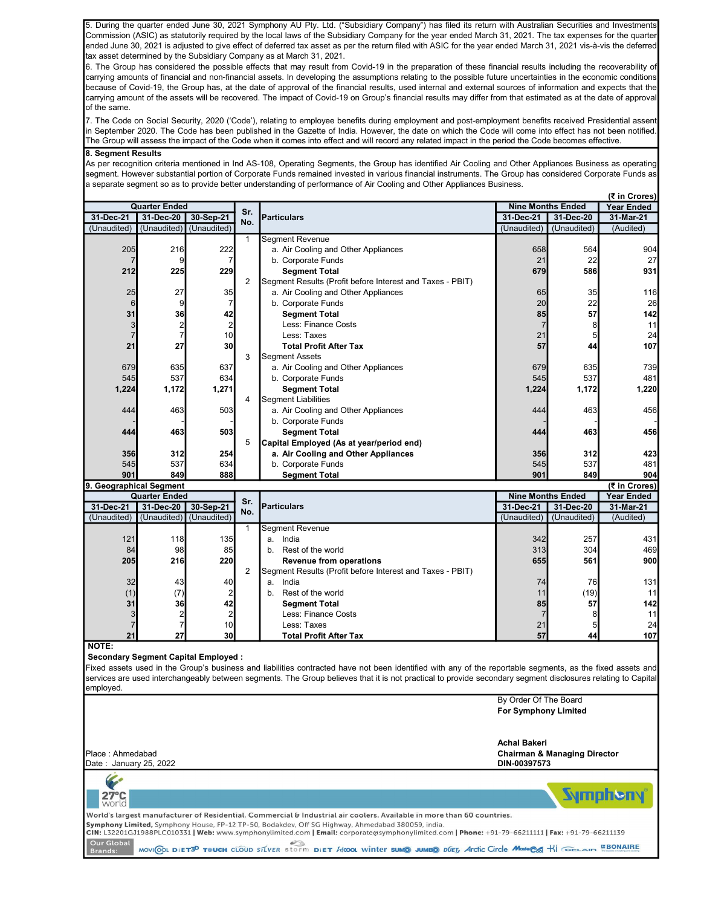5. During the quarter ended June 30, 2021 Symphony AU Pty. Ltd. ("Subsidiary Company") has filed its return with Australian Securities and Investments Commission (ASIC) as statutorily required by the local laws of the Subsidiary Company for the year ended March 31, 2021. The tax expenses for the quarter ended June 30, 2021 is adjusted to give effect of deferred tax asset as per the return filed with ASIC for the year ended March 31, 2021 vis-à-vis the deferred tax asset determined by the Subsidiary Company as at March 31, 2021.

6. The Group has considered the possible effects that may result from Covid-19 in the preparation of these financial results including the recoverability of carrying amounts of financial and non-financial assets. In developing the assumptions relating to the possible future uncertainties in the economic conditions because of Covid-19, the Group has, at the date of approval of the financial results, used internal and external sources of information and expects that the carrying amount of the assets will be recovered. The impact of Covid-19 on Group's financial results may differ from that estimated as at the date of approval of the same.

7. The Code on Social Security, 2020 ('Code'), relating to employee benefits during employment and post-employment benefits received Presidential assent in September 2020. The Code has been published in the Gazette of India. However, the date on which the Code will come into effect has not been notified. The Group will assess the impact of the Code when it comes into effect and will record any related impact in the period the Code becomes effective.

### 8. Segment Results

As per recognition criteria mentioned in Ind AS-108, Operating Segments, the Group has identified Air Cooling and Other Appliances Business as operating segment. However substantial portion of Corporate Funds remained invested in various financial instruments. The Group has considered Corporate Funds as a separate segment so as to provide better understanding of performance of Air Cooling and Other Appliances Business.

| (₹ in Crores)           |                      |                         |              |                                                           |                          |             |                   |
|-------------------------|----------------------|-------------------------|--------------|-----------------------------------------------------------|--------------------------|-------------|-------------------|
|                         | <b>Quarter Ended</b> |                         | Sr.          |                                                           | <b>Nine Months Ended</b> |             | <b>Year Ended</b> |
| 31-Dec-21               | 31-Dec-20            | 30-Sep-21               | No.          | <b>Particulars</b>                                        | 31-Dec-21                | 31-Dec-20   | 31-Mar-21         |
| (Unaudited)             | (Unaudited)          | (Unaudited)             |              |                                                           | (Unaudited)              | (Unaudited) | (Audited)         |
|                         |                      |                         | $\mathbf{1}$ | <b>Segment Revenue</b>                                    |                          |             |                   |
| 205                     | 216                  | 222                     |              | a. Air Cooling and Other Appliances                       | 658                      | 564         | 904               |
| $\overline{7}$          | 9                    | $\overline{7}$          |              | b. Corporate Funds                                        | 21                       | 22          | 27                |
| 212                     | 225                  | 229                     |              | <b>Segment Total</b>                                      | 679                      | 586         | 931               |
|                         |                      |                         | 2            | Segment Results (Profit before Interest and Taxes - PBIT) |                          |             |                   |
| 25                      | 27                   | 35                      |              | a. Air Cooling and Other Appliances                       | 65                       | 35          | 116               |
| 6                       | 9                    | $\overline{7}$          |              | b. Corporate Funds                                        | 20                       | 22          | 26                |
| 31                      | 36                   | 42                      |              | <b>Segment Total</b>                                      | 85                       | 57          | 142               |
| 3                       | 2                    | $\overline{\mathbf{c}}$ |              | Less: Finance Costs                                       |                          | 8           | 11                |
| $\overline{7}$          | $\overline{7}$       | 10                      |              | Less: Taxes                                               | 21                       | 5           | 24                |
| 21                      | 27                   | 30                      |              | <b>Total Profit After Tax</b>                             | 57                       | 44          | 107               |
|                         |                      |                         | 3            | <b>Segment Assets</b>                                     |                          |             |                   |
| 679                     | 635                  | 637                     |              | a. Air Cooling and Other Appliances                       | 679                      | 635         | 739               |
| 545                     | 537                  | 634                     |              | b. Corporate Funds                                        | 545                      | 537         | 481               |
| 1,224                   | 1,172                | 1,271                   |              | <b>Segment Total</b>                                      | 1,224                    | 1,172       | 1,220             |
|                         |                      |                         | 4            | Segment Liabilities                                       |                          |             |                   |
| 444                     | 463                  | 503                     |              | a. Air Cooling and Other Appliances                       | 444                      | 463         | 456               |
|                         |                      |                         |              | b. Corporate Funds                                        |                          |             |                   |
| 444                     | 463                  | 503                     |              | <b>Segment Total</b>                                      | 444                      | 463         | 456               |
|                         |                      |                         | 5            | Capital Employed (As at year/period end)                  |                          |             |                   |
| 356                     | 312                  | 254                     |              | a. Air Cooling and Other Appliances                       | 356                      | 312         | 423               |
| 545                     | 537                  | 634                     |              | b. Corporate Funds                                        | 545                      | 537         | 481               |
| 901                     | 849                  | 888                     |              | <b>Segment Total</b>                                      | 901                      | 849         | 904               |
| 9. Geographical Segment |                      |                         |              |                                                           |                          |             | (₹ in Crores)     |
|                         | <b>Quarter Ended</b> |                         | Sr.          |                                                           | <b>Nine Months Ended</b> |             | <b>Year Ended</b> |
| 31-Dec-21               | 31-Dec-20            | 30-Sep-21               | No.          | <b>Particulars</b>                                        | 31-Dec-21                | 31-Dec-20   | 31-Mar-21         |
| (Unaudited)             | (Unaudited)          | (Unaudited)             |              |                                                           | (Unaudited)              | (Unaudited) | (Audited)         |
|                         |                      |                         | $\mathbf{1}$ | <b>Segment Revenue</b>                                    |                          |             |                   |
| 121                     | 118                  | 135                     |              | India<br>a.                                               | 342                      | 257         | 431               |
| 84                      | 98                   | 85                      |              | Rest of the world<br>b.                                   | 313                      | 304         | 469               |
| 205                     | 216                  | 220                     |              | <b>Revenue from operations</b>                            | 655                      | 561         | 900               |
|                         |                      |                         | 2            | Segment Results (Profit before Interest and Taxes - PBIT) |                          |             |                   |
| 32                      | 43                   | 40                      |              | India<br>a.                                               | 74                       | 76          | 131               |
| (1)                     | (7)                  | $\overline{c}$          |              | Rest of the world<br>b.                                   | 11                       | (19)        | 11                |
| 31                      | 36                   | 42                      |              | <b>Segment Total</b>                                      | 85                       | 57          | 142               |
| 3                       | $\overline{2}$       | $\overline{\mathbf{c}}$ |              | Less: Finance Costs                                       |                          | 8           | 11                |
| $\overline{7}$          | $\overline{7}$       | 10                      |              | Less: Taxes                                               | 21                       | 5           | 24                |
| 21                      | 27                   | 30                      |              | <b>Total Profit After Tax</b>                             | 57                       | 44          | 107               |
| NOTE:                   |                      |                         |              |                                                           |                          |             |                   |

#### Secondary Segment Capital Employed :

Fixed assets used in the Group's business and liabilities contracted have not been identified with any of the reportable segments, as the fixed assets and services are used interchangeably between segments. The Group believes that it is not practical to provide secondary segment disclosures relating to Capital employed.

|                                                                                                                                                                                                                                                                                                                                                                                                                                                                                                                                                   | By Order Of The Board<br><b>For Symphony Limited</b>                    |
|---------------------------------------------------------------------------------------------------------------------------------------------------------------------------------------------------------------------------------------------------------------------------------------------------------------------------------------------------------------------------------------------------------------------------------------------------------------------------------------------------------------------------------------------------|-------------------------------------------------------------------------|
| Place: Ahmedabad<br>Date: January 25, 2022                                                                                                                                                                                                                                                                                                                                                                                                                                                                                                        | Achal Bakeri<br><b>Chairman &amp; Managing Director</b><br>DIN-00397573 |
| $\frac{27}{27}$                                                                                                                                                                                                                                                                                                                                                                                                                                                                                                                                   | <b>Sympheny</b>                                                         |
| World's largest manufacturer of Residential, Commercial & Industrial air coolers. Available in more than 60 countries.<br>Symphony Limited, Symphony House, FP-12 TP-50, Bodakdev, Off SG Highway, Ahmedabad 380059, india.<br>CIN: L32201GJ1988PLC010331   Web: www.symphonylimited.com   Email: corporate@symphonylimited.com   Phone: +91-79-66211111   Fax: +91-79-66211139<br>Our Global<br>MOVICOL DIET3 <sup>D</sup> TOUCH CLOUD STLVER Storm DIET HOOL WINTER SUMO JUMEO DUET, Arctic Circle Mostoco KI GELAIR EBONAIRE<br><b>Brands:</b> |                                                                         |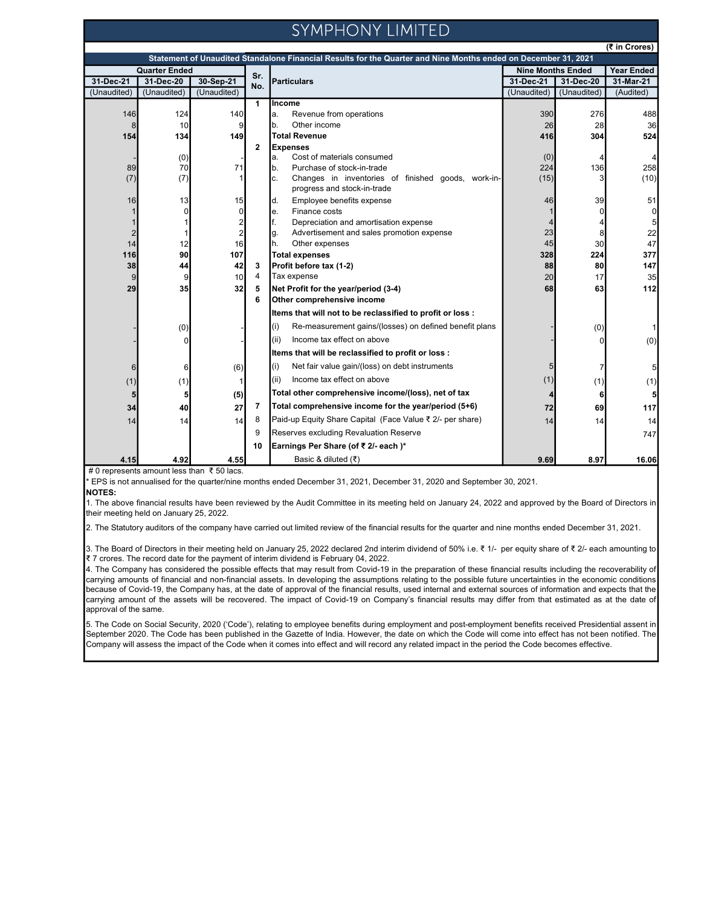## SYMPHONY LIMITED

| (₹ in Crores)                                                                                                  |             |                         |                |                                                               |             |                   |           |
|----------------------------------------------------------------------------------------------------------------|-------------|-------------------------|----------------|---------------------------------------------------------------|-------------|-------------------|-----------|
| Statement of Unaudited Standalone Financial Results for the Quarter and Nine Months ended on December 31, 2021 |             |                         |                |                                                               |             |                   |           |
| <b>Quarter Ended</b>                                                                                           |             | Sr.                     |                | <b>Nine Months Ended</b>                                      |             | <b>Year Ended</b> |           |
| 31-Dec-21                                                                                                      | 31-Dec-20   | 30-Sep-21               | No.            | <b>Particulars</b>                                            | 31-Dec-21   | 31-Dec-20         | 31-Mar-21 |
| (Unaudited)                                                                                                    | (Unaudited) | (Unaudited)             |                |                                                               | (Unaudited) | (Unaudited)       | (Audited) |
|                                                                                                                |             |                         | $\mathbf{1}$   | Income                                                        |             |                   |           |
| 146                                                                                                            | 124         | 140                     |                | Revenue from operations<br>a.                                 | 390         | 276               | 488       |
| 8                                                                                                              | 10          | 9                       |                | Other income<br>b.                                            | 26          | 28                | 36        |
| 154                                                                                                            | 134         | 149                     | $\overline{2}$ | Total Revenue                                                 | 416         | 304               | 524       |
|                                                                                                                | (0)         |                         |                | <b>Expenses</b><br>Cost of materials consumed<br>a.           | (0)         |                   |           |
| 89                                                                                                             | 70          | 71                      |                | Purchase of stock-in-trade<br>b.                              | 224         | 136               | 258       |
| (7)                                                                                                            | (7)         |                         |                | Changes in inventories of finished goods, work-in-<br>c.      | (15)        |                   | (10)      |
|                                                                                                                |             |                         |                | progress and stock-in-trade                                   |             |                   |           |
| 16                                                                                                             | 13          | 15                      |                | Employee benefits expense<br>d.                               | 46          | 39                | 51        |
| $\mathbf{1}$                                                                                                   | $\Omega$    | $\Omega$                |                | Finance costs<br>e.                                           |             | $\Omega$          | 0         |
| $\mathbf{1}$                                                                                                   |             |                         |                | f.<br>Depreciation and amortisation expense                   |             |                   | 5         |
| $\overline{c}$                                                                                                 |             | $\overline{\mathbf{c}}$ |                | Advertisement and sales promotion expense<br>g.               | 23          | 8                 | 22        |
| 14                                                                                                             | 12          | 16                      |                | h.<br>Other expenses                                          | 45          | 30 <sup>2</sup>   | 47        |
| 116                                                                                                            | 90          | 107                     |                | <b>Total expenses</b>                                         | 328         | 224               | 377       |
| 38                                                                                                             | 44          | 42                      | 3              | Profit before tax (1-2)                                       | 88          | 80                | 147       |
| 9                                                                                                              | 9           | 10                      | $\overline{4}$ | Tax expense                                                   | 20          | 17                | 35        |
| 29                                                                                                             | 35          | 32                      | 5              | Net Profit for the year/period (3-4)                          | 68          | 63                | 112       |
|                                                                                                                |             |                         | 6              | Other comprehensive income                                    |             |                   |           |
|                                                                                                                |             |                         |                | Items that will not to be reclassified to profit or loss :    |             |                   |           |
|                                                                                                                | (0)         |                         |                | Re-measurement gains/(losses) on defined benefit plans<br>(i) |             | (0)               |           |
|                                                                                                                |             |                         |                | Income tax effect on above<br>(ii)                            |             | $\Omega$          | (0)       |
|                                                                                                                |             |                         |                | Items that will be reclassified to profit or loss :           |             |                   |           |
| 6                                                                                                              | 6           | (6)                     |                | Net fair value gain/(loss) on debt instruments<br>(i)         |             |                   | 5         |
| (1)                                                                                                            | (1)         |                         |                | Income tax effect on above<br>(ii)                            | (1)         | (1)               | (1)       |
| 5                                                                                                              |             | (5)                     |                | Total other comprehensive income/(loss), net of tax           |             | 6                 | 5         |
| 34                                                                                                             | 40          | 27                      | 7              | Total comprehensive income for the year/period (5+6)          | 72          | 69                | 117       |
| 14                                                                                                             | 14          | 14                      | 8              | Paid-up Equity Share Capital (Face Value ₹ 2/- per share)     | 14          | 14                | 14        |
|                                                                                                                |             |                         | 9              | Reserves excluding Revaluation Reserve                        |             |                   | 747       |
|                                                                                                                |             |                         | 10             | Earnings Per Share (of ₹ 2/- each)*                           |             |                   |           |
| 4.15                                                                                                           | 4.92        | 4.55                    |                | Basic & diluted $(\bar{\tau})$                                | 9.69        | 8.97              | 16.06     |

# 0 represents amount less than ₹ 50 lacs.

\* EPS is not annualised for the quarter/nine months ended December 31, 2021, December 31, 2020 and September 30, 2021.

NOTES:

1. The above financial results have been reviewed by the Audit Committee in its meeting held on January 24, 2022 and approved by the Board of Directors in their meeting held on January 25, 2022.

2. The Statutory auditors of the company have carried out limited review of the financial results for the quarter and nine months ended December 31, 2021.

3. The Board of Directors in their meeting held on January 25, 2022 declared 2nd interim dividend of 50% i.e. ₹ 1/- per equity share of ₹ 2/- each amounting to ₹ 7 crores. The record date for the payment of interim dividend is February 04, 2022.

4. The Company has considered the possible effects that may result from Covid-19 in the preparation of these financial results including the recoverability of carrying amounts of financial and non-financial assets. In developing the assumptions relating to the possible future uncertainties in the economic conditions because of Covid-19, the Company has, at the date of approval of the financial results, used internal and external sources of information and expects that the carrying amount of the assets will be recovered. The impact of Covid-19 on Company's financial results may differ from that estimated as at the date of approval of the same.

5. The Code on Social Security, 2020 ('Code'), relating to employee benefits during employment and post-employment benefits received Presidential assent in September 2020. The Code has been published in the Gazette of India. However, the date on which the Code will come into effect has not been notified. The Company will assess the impact of the Code when it comes into effect and will record any related impact in the period the Code becomes effective.